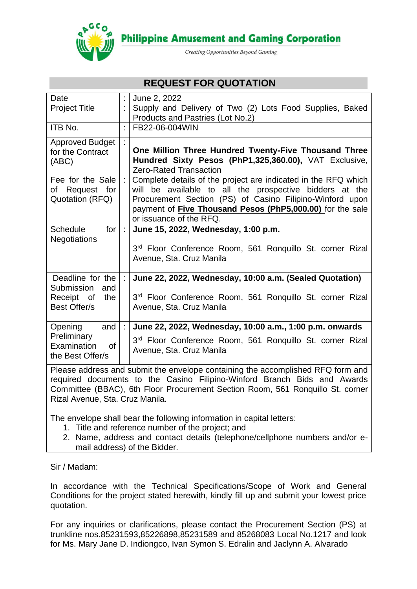

**Philippine Amusement and Gaming Corporation** 

Creating Opportunities Beyond Gaming

# **REQUEST FOR QUOTATION**

| Date                                                                            |           | June 2, 2022                                                                                                                                                                                                                                                                         |  |
|---------------------------------------------------------------------------------|-----------|--------------------------------------------------------------------------------------------------------------------------------------------------------------------------------------------------------------------------------------------------------------------------------------|--|
| <b>Project Title</b>                                                            |           | Supply and Delivery of Two (2) Lots Food Supplies, Baked<br>Products and Pastries (Lot No.2)                                                                                                                                                                                         |  |
| ITB No.                                                                         |           | FB22-06-004WIN                                                                                                                                                                                                                                                                       |  |
| <b>Approved Budget</b><br>for the Contract<br>(ABC)                             |           | One Million Three Hundred Twenty-Five Thousand Three<br>Hundred Sixty Pesos (PhP1,325,360.00), VAT Exclusive,<br>Zero-Rated Transaction                                                                                                                                              |  |
| Fee for the Sale<br>of Request for<br>Quotation (RFQ)                           | ÷l        | Complete details of the project are indicated in the RFQ which<br>will be available to all the prospective bidders at the<br>Procurement Section (PS) of Casino Filipino-Winford upon<br>payment of <b>Five Thousand Pesos (PhP5,000.00)</b> for the sale<br>or issuance of the RFQ. |  |
| for<br><b>Schedule</b><br><b>Negotiations</b>                                   | $\cdot$ 1 | June 15, 2022, Wednesday, 1:00 p.m.<br>3rd Floor Conference Room, 561 Ronquillo St. corner Rizal<br>Avenue, Sta. Cruz Manila                                                                                                                                                         |  |
| Deadline for the<br>Submission<br>and<br>Receipt of<br>the<br>Best Offer/s      | ÷         | June 22, 2022, Wednesday, 10:00 a.m. (Sealed Quotation)<br>3rd Floor Conference Room, 561 Ronquillo St. corner Rizal<br>Avenue, Sta. Cruz Manila                                                                                                                                     |  |
| Opening<br>and<br>Preliminary<br>Examination<br>0f<br>the Best Offer/s          | ÷.        | June 22, 2022, Wednesday, 10:00 a.m., 1:00 p.m. onwards<br>3rd Floor Conference Room, 561 Ronquillo St. corner Rizal<br>Avenue, Sta. Cruz Manila                                                                                                                                     |  |
| Please address and submit the envelope containing the accomplished RFQ form and |           |                                                                                                                                                                                                                                                                                      |  |

required documents to the Casino Filipino-Winford Branch Bids and Awards Committee (BBAC), 6th Floor Procurement Section Room, 561 Ronquillo St. corner Rizal Avenue, Sta. Cruz Manila.

The envelope shall bear the following information in capital letters:

- 1. Title and reference number of the project; and
- 2. Name, address and contact details (telephone/cellphone numbers and/or email address) of the Bidder.

Sir / Madam:

In accordance with the Technical Specifications/Scope of Work and General Conditions for the project stated herewith, kindly fill up and submit your lowest price quotation.

For any inquiries or clarifications, please contact the Procurement Section (PS) at trunkline nos.85231593,85226898,85231589 and 85268083 Local No.1217 and look for Ms. Mary Jane D. Indiongco, Ivan Symon S. Edralin and Jaclynn A. Alvarado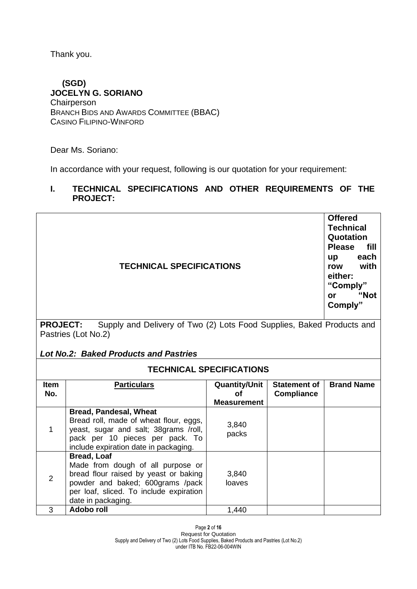Thank you.

### **(SGD) JOCELYN G. SORIANO Chairperson** BRANCH BIDS AND AWARDS COMMITTEE (BBAC) CASINO FILIPINO-WINFORD

pack per 10 pieces per pack. To include expiration date in packaging.

**Bread, Loaf**

Dear Ms. Soriano:

In accordance with your request, following is our quotation for your requirement:

## **I. TECHNICAL SPECIFICATIONS AND OTHER REQUIREMENTS OF THE PROJECT:**

|                    | <b>Offered</b><br><b>Technical</b><br>Quotation<br><b>Please</b><br>fill<br>each<br>up<br>with<br>row<br>either:<br>"Comply"<br>"Not<br><b>or</b><br>Comply"             |                                                         |                                          |                   |  |  |
|--------------------|--------------------------------------------------------------------------------------------------------------------------------------------------------------------------|---------------------------------------------------------|------------------------------------------|-------------------|--|--|
|                    | Supply and Delivery of Two (2) Lots Food Supplies, Baked Products and<br><b>PROJECT:</b><br>Pastries (Lot No.2)<br><b>Lot No.2: Baked Products and Pastries</b>          |                                                         |                                          |                   |  |  |
|                    | <b>TECHNICAL SPECIFICATIONS</b>                                                                                                                                          |                                                         |                                          |                   |  |  |
| <b>Item</b><br>No. | <b>Particulars</b>                                                                                                                                                       | <b>Quantity/Unit</b><br><b>of</b><br><b>Measurement</b> | <b>Statement of</b><br><b>Compliance</b> | <b>Brand Name</b> |  |  |
| 1                  | <b>Bread, Pandesal, Wheat</b><br>Bread roll, made of wheat flour, eggs,<br>yeast, sugar and salt; 38grams /roll,<br>والمتحدث ومحاملات والمحاملات المتلاط ومحاملات والمار | 3,840<br>packs                                          |                                          |                   |  |  |

Page **2** of **16** Request for Quotation 2 Made from dough of all purpose or bread flour raised by yeast or baking powder and baked; 600grams /pack per loaf, sliced. To include expiration date in packaging. 3,840 loaves 3 **Adobo roll** 1,440

Supply and Delivery of Two (2) Lots Food Supplies, Baked Products and Pastries (Lot No.2) under ITB No. FB22-06-004WIN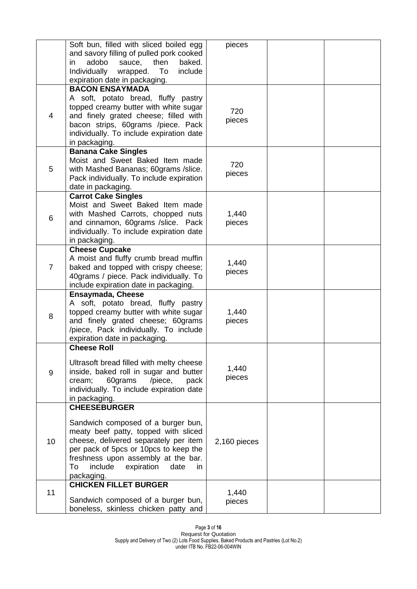|                | Soft bun, filled with sliced boiled egg<br>and savory filling of pulled pork cooked<br>adobo<br>baked.<br>sauce,<br>then<br>in<br>Individually<br>To<br>include<br>wrapped.<br>expiration date in packaging.                                                                           | pieces          |  |
|----------------|----------------------------------------------------------------------------------------------------------------------------------------------------------------------------------------------------------------------------------------------------------------------------------------|-----------------|--|
| 4              | <b>BACON ENSAYMADA</b><br>A soft, potato bread, fluffy pastry<br>topped creamy butter with white sugar<br>and finely grated cheese; filled with<br>bacon strips, 60grams /piece. Pack<br>individually. To include expiration date<br>in packaging.                                     | 720<br>pieces   |  |
| 5              | <b>Banana Cake Singles</b><br>Moist and Sweet Baked Item made<br>with Mashed Bananas; 60grams / slice.<br>Pack individually. To include expiration<br>date in packaging.                                                                                                               | 720<br>pieces   |  |
| 6              | <b>Carrot Cake Singles</b><br>Moist and Sweet Baked Item made<br>with Mashed Carrots, chopped nuts<br>and cinnamon, 60grams /slice. Pack<br>individually. To include expiration date<br>in packaging.                                                                                  | 1,440<br>pieces |  |
| $\overline{7}$ | <b>Cheese Cupcake</b><br>A moist and fluffy crumb bread muffin<br>baked and topped with crispy cheese;<br>40grams / piece. Pack individually. To<br>include expiration date in packaging.                                                                                              | 1,440<br>pieces |  |
| 8              | <b>Ensaymada, Cheese</b><br>A soft, potato bread, fluffy pastry<br>topped creamy butter with white sugar<br>and finely grated cheese; 60grams<br>/piece, Pack individually. To include<br>expiration date in packaging.                                                                | 1,440<br>pieces |  |
| 9              | <b>Cheese Roll</b><br>Ultrasoft bread filled with melty cheese<br>inside, baked roll in sugar and butter<br>60grams<br>/piece,<br>cream;<br>pack<br>individually. To include expiration date<br>in packaging.                                                                          | 1,440<br>pieces |  |
| 10             | <b>CHEESEBURGER</b><br>Sandwich composed of a burger bun,<br>meaty beef patty, topped with sliced<br>cheese, delivered separately per item<br>per pack of 5pcs or 10pcs to keep the<br>freshness upon assembly at the bar.<br>include<br>expiration<br>date<br>To<br>in.<br>packaging. | 2,160 pieces    |  |
| 11             | <b>CHICKEN FILLET BURGER</b><br>Sandwich composed of a burger bun,<br>boneless, skinless chicken patty and                                                                                                                                                                             | 1,440<br>pieces |  |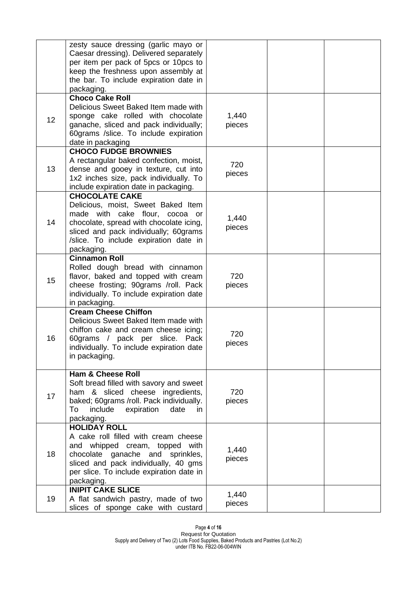|    | zesty sauce dressing (garlic mayo or<br>Caesar dressing). Delivered separately<br>per item per pack of 5pcs or 10pcs to<br>keep the freshness upon assembly at<br>the bar. To include expiration date in<br>packaging.                   |                 |  |
|----|------------------------------------------------------------------------------------------------------------------------------------------------------------------------------------------------------------------------------------------|-----------------|--|
| 12 | <b>Choco Cake Roll</b><br>Delicious Sweet Baked Item made with<br>sponge cake rolled with chocolate<br>ganache, sliced and pack individually;<br>60grams /slice. To include expiration<br>date in packaging                              | 1,440<br>pieces |  |
| 13 | <b>CHOCO FUDGE BROWNIES</b><br>A rectangular baked confection, moist,<br>dense and gooey in texture, cut into<br>1x2 inches size, pack individually. To<br>include expiration date in packaging.                                         | 720<br>pieces   |  |
| 14 | <b>CHOCOLATE CAKE</b><br>Delicious, moist, Sweet Baked Item<br>made with cake flour, cocoa or<br>chocolate, spread with chocolate icing,<br>sliced and pack individually; 60grams<br>/slice. To include expiration date in<br>packaging. | 1,440<br>pieces |  |
| 15 | <b>Cinnamon Roll</b><br>Rolled dough bread with cinnamon<br>flavor, baked and topped with cream<br>cheese frosting; 90grams /roll. Pack<br>individually. To include expiration date<br>in packaging.                                     | 720<br>pieces   |  |
| 16 | <b>Cream Cheese Chiffon</b><br>Delicious Sweet Baked Item made with<br>chiffon cake and cream cheese icing;<br>60grams / pack per slice.<br>Pack<br>individually. To include expiration date<br>in packaging.                            | 720<br>pieces   |  |
| 17 | <b>Ham &amp; Cheese Roll</b><br>Soft bread filled with savory and sweet<br>ham & sliced cheese ingredients,<br>baked; 60grams /roll. Pack individually.<br>include<br>expiration<br>date<br>To<br>in<br>packaging.                       | 720<br>pieces   |  |
| 18 | <b>HOLIDAY ROLL</b><br>A cake roll filled with cream cheese<br>and whipped cream, topped with<br>ganache and sprinkles,<br>chocolate<br>sliced and pack individually, 40 gms<br>per slice. To include expiration date in<br>packaging.   | 1,440<br>pieces |  |
| 19 | <b>INIPIT CAKE SLICE</b><br>A flat sandwich pastry, made of two<br>slices of sponge cake with custard                                                                                                                                    | 1,440<br>pieces |  |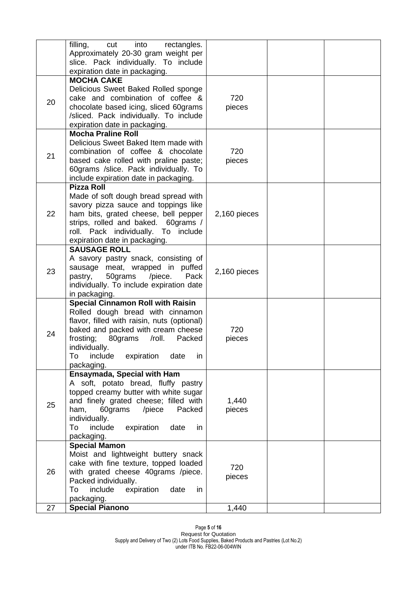|    | filling,<br>into<br>cut<br>rectangles.<br>Approximately 20-30 gram weight per<br>slice. Pack individually. To include<br>expiration date in packaging.                                                                                                                                     |                 |  |
|----|--------------------------------------------------------------------------------------------------------------------------------------------------------------------------------------------------------------------------------------------------------------------------------------------|-----------------|--|
| 20 | <b>MOCHA CAKE</b><br>Delicious Sweet Baked Rolled sponge<br>cake and combination of coffee &<br>chocolate based icing, sliced 60grams<br>/sliced. Pack individually. To include<br>expiration date in packaging.                                                                           | 720<br>pieces   |  |
| 21 | <b>Mocha Praline Roll</b><br>Delicious Sweet Baked Item made with<br>combination of coffee & chocolate<br>based cake rolled with praline paste;<br>60grams /slice. Pack individually. To<br>include expiration date in packaging.                                                          | 720<br>pieces   |  |
| 22 | <b>Pizza Roll</b><br>Made of soft dough bread spread with<br>savory pizza sauce and toppings like<br>ham bits, grated cheese, bell pepper<br>strips, rolled and baked. 60grams /<br>roll. Pack individually. To include<br>expiration date in packaging.                                   | 2,160 pieces    |  |
| 23 | <b>SAUSAGE ROLL</b><br>A savory pastry snack, consisting of<br>sausage meat, wrapped in puffed<br>50grams<br>/piece.<br>Pack<br>pastry,<br>individually. To include expiration date<br>in packaging.                                                                                       | 2,160 pieces    |  |
| 24 | <b>Special Cinnamon Roll with Raisin</b><br>Rolled dough bread with cinnamon<br>flavor, filled with raisin, nuts (optional)<br>baked and packed with cream cheese<br>frosting;<br>80grams<br>/roll.<br>Packed<br>individually.<br>include<br>expiration<br>To<br>date<br>in.<br>packaging. | 720<br>pieces   |  |
| 25 | Ensaymada, Special with Ham<br>A soft, potato bread, fluffy pastry<br>topped creamy butter with white sugar<br>and finely grated cheese; filled with<br>60grams<br>/piece<br>ham,<br>Packed<br>individually.<br>include<br>expiration<br>To<br>date<br>in<br>packaging.                    | 1,440<br>pieces |  |
| 26 | <b>Special Mamon</b><br>Moist and lightweight buttery snack<br>cake with fine texture, topped loaded<br>with grated cheese 40grams /piece.<br>Packed individually.<br>expiration date<br>To<br>include<br>in<br>packaging.                                                                 | 720<br>pieces   |  |
| 27 | <b>Special Pianono</b>                                                                                                                                                                                                                                                                     | 1,440           |  |

Page **5** of **16** Request for Quotation Supply and Delivery of Two (2) Lots Food Supplies, Baked Products and Pastries (Lot No.2) under ITB No. FB22-06-004WIN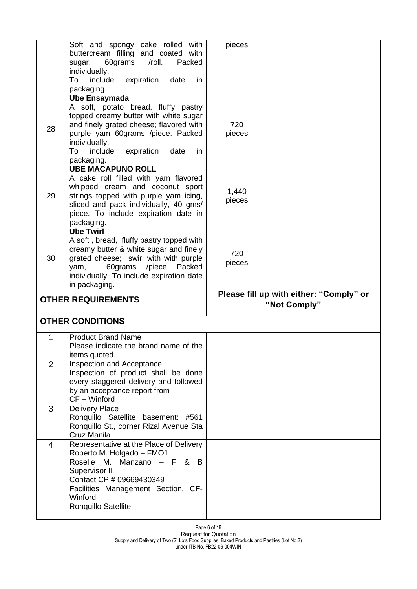|                | Soft and spongy cake rolled with<br>buttercream filling and coated with<br>60grams<br>/roll.<br>Packed<br>sugar,<br>individually.                                                                                                                                 | pieces          |                                                         |  |
|----------------|-------------------------------------------------------------------------------------------------------------------------------------------------------------------------------------------------------------------------------------------------------------------|-----------------|---------------------------------------------------------|--|
|                | include<br>expiration<br>To<br>date<br>in.<br>packaging.                                                                                                                                                                                                          |                 |                                                         |  |
| 28             | <b>Ube Ensaymada</b><br>A soft, potato bread, fluffy pastry<br>topped creamy butter with white sugar<br>and finely grated cheese; flavored with<br>purple yam 60grams /piece. Packed<br>individually.<br>include<br>To<br>expiration<br>date<br>in.<br>packaging. | 720<br>pieces   |                                                         |  |
| 29             | <b>UBE MACAPUNO ROLL</b><br>A cake roll filled with yam flavored<br>whipped cream and coconut sport<br>strings topped with purple yam icing,<br>sliced and pack individually, 40 gms/<br>piece. To include expiration date in<br>packaging.                       | 1,440<br>pieces |                                                         |  |
| 30             | <b>Ube Twirl</b><br>A soft, bread, fluffy pastry topped with<br>creamy butter & white sugar and finely<br>grated cheese; swirl with with purple<br>60grams /piece<br>Packed<br>yam,<br>individually. To include expiration date                                   | 720<br>pieces   |                                                         |  |
|                |                                                                                                                                                                                                                                                                   |                 |                                                         |  |
|                | in packaging.<br><b>OTHER REQUIREMENTS</b>                                                                                                                                                                                                                        |                 | Please fill up with either: "Comply" or<br>"Not Comply" |  |
|                | <b>OTHER CONDITIONS</b>                                                                                                                                                                                                                                           |                 |                                                         |  |
| 1              | <b>Product Brand Name</b><br>Please indicate the brand name of the<br>items quoted.                                                                                                                                                                               |                 |                                                         |  |
| $\overline{2}$ | Inspection and Acceptance<br>Inspection of product shall be done<br>every staggered delivery and followed<br>by an acceptance report from<br>CF - Winford                                                                                                         |                 |                                                         |  |
| 3              | <b>Delivery Place</b><br>Ronquillo Satellite basement: #561<br>Ronquillo St., corner Rizal Avenue Sta<br>Cruz Manila                                                                                                                                              |                 |                                                         |  |

Page **6** of **16** Request for Quotation Supply and Delivery of Two (2) Lots Food Supplies, Baked Products and Pastries (Lot No.2) under ITB No. FB22-06-004WIN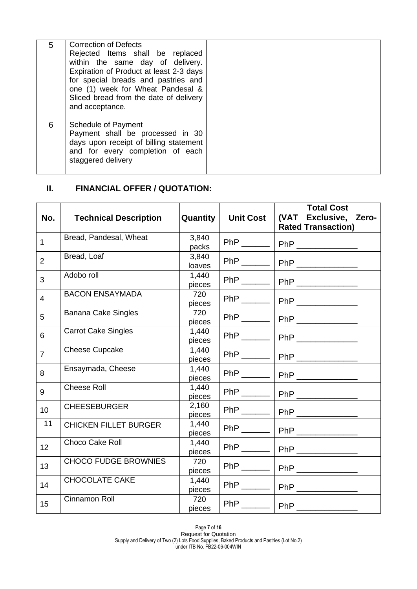| 5 | <b>Correction of Defects</b><br>Rejected Items shall be replaced<br>within the same day of delivery.<br>Expiration of Product at least 2-3 days<br>for special breads and pastries and<br>one (1) week for Wheat Pandesal &<br>Sliced bread from the date of delivery<br>and acceptance. |  |
|---|------------------------------------------------------------------------------------------------------------------------------------------------------------------------------------------------------------------------------------------------------------------------------------------|--|
| 6 | Schedule of Payment<br>Payment shall be processed in 30<br>days upon receipt of billing statement<br>and for every completion of each<br>staggered delivery                                                                                                                              |  |

## **II. FINANCIAL OFFER / QUOTATION:**

| No.            | <b>Technical Description</b> | Quantity        | <b>Unit Cost</b>          | <b>Total Cost</b><br>(VAT Exclusive, Zero-<br><b>Rated Transaction)</b> |
|----------------|------------------------------|-----------------|---------------------------|-------------------------------------------------------------------------|
| $\mathbf{1}$   | Bread, Pandesal, Wheat       | 3,840<br>packs  | $PhP$ <sub>_______</sub>  | PhP ______________                                                      |
| $\overline{2}$ | Bread, Loaf                  | 3,840<br>loaves |                           | PhP ________   PhP ______________                                       |
| 3              | Adobo roll                   | 1,440<br>pieces | $PhP$ <sub>______</sub>   | PhP _____________                                                       |
| 4              | <b>BACON ENSAYMADA</b>       | 720<br>pieces   |                           | PhP _____________                                                       |
| 5              | <b>Banana Cake Singles</b>   | 720<br>pieces   |                           | PhP _______   PhP ____________                                          |
| 6              | <b>Carrot Cake Singles</b>   | 1,440<br>pieces |                           | PhP _______   PhP _____________                                         |
| $\overline{7}$ | <b>Cheese Cupcake</b>        | 1,440<br>pieces | $PhP$ <sub>______</sub>   |                                                                         |
| 8              | Ensaymada, Cheese            | 1,440<br>pieces | $PhP$ <sub>______</sub>   | PhP ____________                                                        |
| 9              | <b>Cheese Roll</b>           | 1,440<br>pieces |                           | PhP _______   PhP ____________                                          |
| 10             | <b>CHEESEBURGER</b>          | 2,160<br>pieces |                           | PhP _______   PhP ______________                                        |
| 11             | <b>CHICKEN FILLET BURGER</b> | 1,440<br>pieces |                           |                                                                         |
| 12             | <b>Choco Cake Roll</b>       | 1,440<br>pieces | $PhP$ <sub>______</sub>   | PhP _____________                                                       |
| 13             | <b>CHOCO FUDGE BROWNIES</b>  | 720<br>pieces   | $PhP$ <sub>_______</sub>  | PhP                                                                     |
| 14             | <b>CHOCOLATE CAKE</b>        | 1,440<br>pieces |                           | PhP _______   PhP ___________                                           |
| 15             | Cinnamon Roll                | 720<br>pieces   | $PhP$ <sub>________</sub> | PhP                                                                     |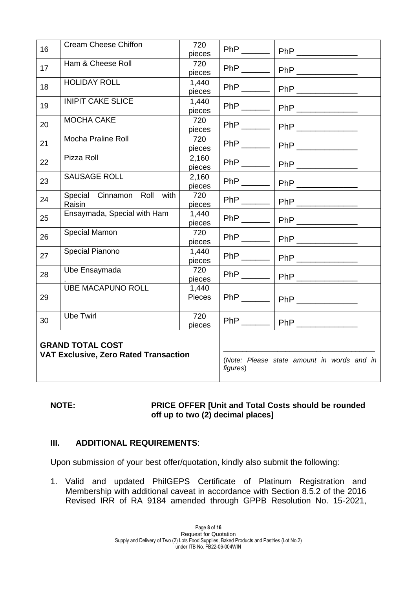| 16 | <b>Cream Cheese Chiffon</b>                                             | 720<br>pieces   | $PhP$ <sub>_______</sub> |                                                                                                                                                                                                                                                                                                                                                                                             |
|----|-------------------------------------------------------------------------|-----------------|--------------------------|---------------------------------------------------------------------------------------------------------------------------------------------------------------------------------------------------------------------------------------------------------------------------------------------------------------------------------------------------------------------------------------------|
| 17 | Ham & Cheese Roll                                                       | 720<br>pieces   | $PhP$ <sub>_______</sub> | PhP ______________                                                                                                                                                                                                                                                                                                                                                                          |
| 18 | <b>HOLIDAY ROLL</b>                                                     | 1,440<br>pieces | $PhP$ <sub>_______</sub> |                                                                                                                                                                                                                                                                                                                                                                                             |
| 19 | <b>INIPIT CAKE SLICE</b>                                                | 1,440<br>pieces | $PhP$ <sub>______</sub>  | PhP _____________                                                                                                                                                                                                                                                                                                                                                                           |
| 20 | <b>MOCHA CAKE</b>                                                       | 720<br>pieces   | $PhP$ <sub>_______</sub> | $\begin{picture}(20,20) \put(0,0){\dashbox{0.5}(5,0){ }} \put(15,0){\circle{10}} \put(15,0){\circle{10}} \put(15,0){\circle{10}} \put(15,0){\circle{10}} \put(15,0){\circle{10}} \put(15,0){\circle{10}} \put(15,0){\circle{10}} \put(15,0){\circle{10}} \put(15,0){\circle{10}} \put(15,0){\circle{10}} \put(15,0){\circle{10}} \put(15,0){\circle{10}} \put(15,0){\circle{10}} \put(15,0$ |
| 21 | Mocha Praline Roll                                                      | 720<br>pieces   | $PhP$ <sub>_______</sub> |                                                                                                                                                                                                                                                                                                                                                                                             |
| 22 | Pizza Roll                                                              | 2,160<br>pieces |                          | PhP _______   PhP _____________                                                                                                                                                                                                                                                                                                                                                             |
| 23 | SAUSAGE ROLL                                                            | 2,160<br>pieces |                          | PhP _______   PhP ______________                                                                                                                                                                                                                                                                                                                                                            |
| 24 | Special Cinnamon Roll with<br>Raisin                                    | 720<br>pieces   |                          | PhP _______   PhP _______________                                                                                                                                                                                                                                                                                                                                                           |
| 25 | Ensaymada, Special with Ham                                             | 1,440<br>pieces |                          | PhP _______   PhP ____________                                                                                                                                                                                                                                                                                                                                                              |
| 26 | Special Mamon                                                           | 720<br>pieces   |                          | PhP _______   PhP ______________                                                                                                                                                                                                                                                                                                                                                            |
| 27 | Special Pianono                                                         | 1,440<br>pieces |                          | PhP _______   PhP ____________                                                                                                                                                                                                                                                                                                                                                              |
| 28 | Ube Ensaymada                                                           | 720<br>pieces   |                          | PhP ________   PhP ______________                                                                                                                                                                                                                                                                                                                                                           |
| 29 | <b>UBE MACAPUNO ROLL</b>                                                | 1,440<br>Pieces | $PhP$ <sub>______</sub>  |                                                                                                                                                                                                                                                                                                                                                                                             |
| 30 | <b>Ube Twirl</b>                                                        | 720<br>pieces   |                          | PhP _______   PhP _____________                                                                                                                                                                                                                                                                                                                                                             |
|    | <b>GRAND TOTAL COST</b><br><b>VAT Exclusive, Zero Rated Transaction</b> |                 |                          | (Note: Please state amount in words and in                                                                                                                                                                                                                                                                                                                                                  |

#### **NOTE: PRICE OFFER [Unit and Total Costs should be rounded off up to two (2) decimal places]**

## **III. ADDITIONAL REQUIREMENTS**:

Upon submission of your best offer/quotation, kindly also submit the following:

1. Valid and updated PhilGEPS Certificate of Platinum Registration and Membership with additional caveat in accordance with Section 8.5.2 of the 2016 Revised IRR of RA 9184 amended through GPPB Resolution No. 15-2021,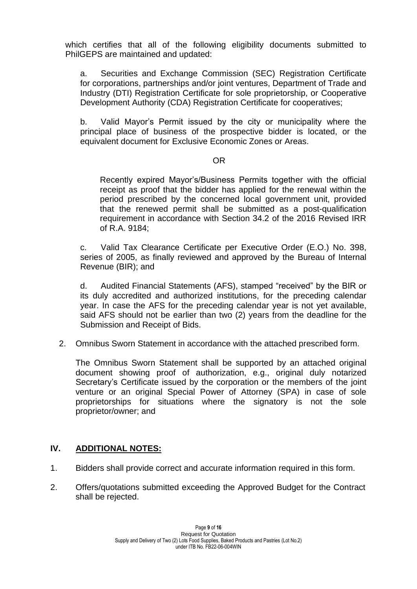which certifies that all of the following eligibility documents submitted to PhilGEPS are maintained and updated:

a. Securities and Exchange Commission (SEC) Registration Certificate for corporations, partnerships and/or joint ventures, Department of Trade and Industry (DTI) Registration Certificate for sole proprietorship, or Cooperative Development Authority (CDA) Registration Certificate for cooperatives;

b. Valid Mayor's Permit issued by the city or municipality where the principal place of business of the prospective bidder is located, or the equivalent document for Exclusive Economic Zones or Areas.

#### **OR** Service Service Service Service Service Service Service Service Service Service Service Service Service Service Service Service Service Service Service Service Service Service Service Service Service Service Service S

Recently expired Mayor's/Business Permits together with the official receipt as proof that the bidder has applied for the renewal within the period prescribed by the concerned local government unit, provided that the renewed permit shall be submitted as a post-qualification requirement in accordance with Section 34.2 of the 2016 Revised IRR of R.A. 9184;

c. Valid Tax Clearance Certificate per Executive Order (E.O.) No. 398, series of 2005, as finally reviewed and approved by the Bureau of Internal Revenue (BIR); and

d. Audited Financial Statements (AFS), stamped "received" by the BIR or its duly accredited and authorized institutions, for the preceding calendar year. In case the AFS for the preceding calendar year is not yet available, said AFS should not be earlier than two (2) years from the deadline for the Submission and Receipt of Bids.

2. Omnibus Sworn Statement in accordance with the attached prescribed form.

The Omnibus Sworn Statement shall be supported by an attached original document showing proof of authorization, e.g., original duly notarized Secretary's Certificate issued by the corporation or the members of the joint venture or an original Special Power of Attorney (SPA) in case of sole proprietorships for situations where the signatory is not the sole proprietor/owner; and

## **IV. ADDITIONAL NOTES:**

- 1. Bidders shall provide correct and accurate information required in this form.
- 2. Offers/quotations submitted exceeding the Approved Budget for the Contract shall be rejected.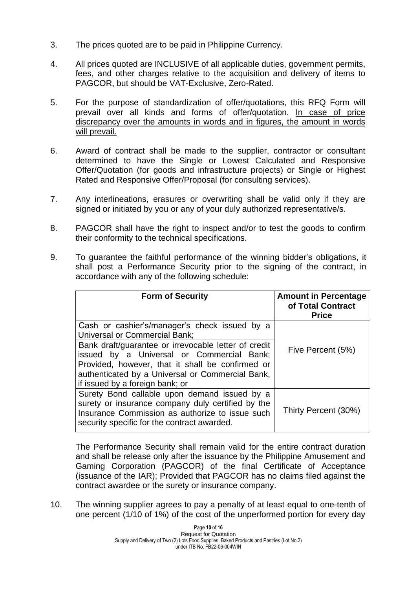- 3. The prices quoted are to be paid in Philippine Currency.
- 4. All prices quoted are INCLUSIVE of all applicable duties, government permits, fees, and other charges relative to the acquisition and delivery of items to PAGCOR, but should be VAT-Exclusive, Zero-Rated.
- 5. For the purpose of standardization of offer/quotations, this RFQ Form will prevail over all kinds and forms of offer/quotation. In case of price discrepancy over the amounts in words and in figures, the amount in words will prevail.
- 6. Award of contract shall be made to the supplier, contractor or consultant determined to have the Single or Lowest Calculated and Responsive Offer/Quotation (for goods and infrastructure projects) or Single or Highest Rated and Responsive Offer/Proposal (for consulting services).
- 7. Any interlineations, erasures or overwriting shall be valid only if they are signed or initiated by you or any of your duly authorized representative/s.
- 8. PAGCOR shall have the right to inspect and/or to test the goods to confirm their conformity to the technical specifications.
- 9. To guarantee the faithful performance of the winning bidder's obligations, it shall post a Performance Security prior to the signing of the contract, in accordance with any of the following schedule:

| <b>Form of Security</b>                                                                                                                                                                                                                      | <b>Amount in Percentage</b><br>of Total Contract<br><b>Price</b> |
|----------------------------------------------------------------------------------------------------------------------------------------------------------------------------------------------------------------------------------------------|------------------------------------------------------------------|
| Cash or cashier's/manager's check issued by a<br><b>Universal or Commercial Bank;</b>                                                                                                                                                        |                                                                  |
| Bank draft/guarantee or irrevocable letter of credit<br>issued by a Universal or Commercial Bank:<br>Provided, however, that it shall be confirmed or<br>authenticated by a Universal or Commercial Bank,<br>if issued by a foreign bank; or | Five Percent (5%)                                                |
| Surety Bond callable upon demand issued by a<br>surety or insurance company duly certified by the<br>Insurance Commission as authorize to issue such<br>security specific for the contract awarded.                                          | Thirty Percent (30%)                                             |

The Performance Security shall remain valid for the entire contract duration and shall be release only after the issuance by the Philippine Amusement and Gaming Corporation (PAGCOR) of the final Certificate of Acceptance (issuance of the IAR); Provided that PAGCOR has no claims filed against the contract awardee or the surety or insurance company.

10. The winning supplier agrees to pay a penalty of at least equal to one-tenth of one percent (1/10 of 1%) of the cost of the unperformed portion for every day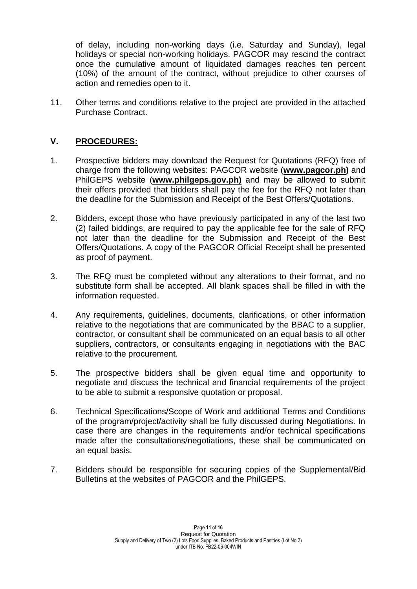of delay, including non-working days (i.e. Saturday and Sunday), legal holidays or special non-working holidays. PAGCOR may rescind the contract once the cumulative amount of liquidated damages reaches ten percent (10%) of the amount of the contract, without prejudice to other courses of action and remedies open to it.

11. Other terms and conditions relative to the project are provided in the attached Purchase Contract.

## **V. PROCEDURES:**

- 1. Prospective bidders may download the Request for Quotations (RFQ) free of charge from the following websites: PAGCOR website (**[www.pagcor.ph\)](http://www.pagcor.ph/)** and PhilGEPS website (**www.philgeps.gov.ph)** and may be allowed to submit their offers provided that bidders shall pay the fee for the RFQ not later than the deadline for the Submission and Receipt of the Best Offers/Quotations.
- 2. Bidders, except those who have previously participated in any of the last two (2) failed biddings, are required to pay the applicable fee for the sale of RFQ not later than the deadline for the Submission and Receipt of the Best Offers/Quotations. A copy of the PAGCOR Official Receipt shall be presented as proof of payment.
- 3. The RFQ must be completed without any alterations to their format, and no substitute form shall be accepted. All blank spaces shall be filled in with the information requested.
- 4. Any requirements, guidelines, documents, clarifications, or other information relative to the negotiations that are communicated by the BBAC to a supplier, contractor, or consultant shall be communicated on an equal basis to all other suppliers, contractors, or consultants engaging in negotiations with the BAC relative to the procurement.
- 5. The prospective bidders shall be given equal time and opportunity to negotiate and discuss the technical and financial requirements of the project to be able to submit a responsive quotation or proposal.
- 6. Technical Specifications/Scope of Work and additional Terms and Conditions of the program/project/activity shall be fully discussed during Negotiations. In case there are changes in the requirements and/or technical specifications made after the consultations/negotiations, these shall be communicated on an equal basis.
- 7. Bidders should be responsible for securing copies of the Supplemental/Bid Bulletins at the websites of PAGCOR and the PhilGEPS.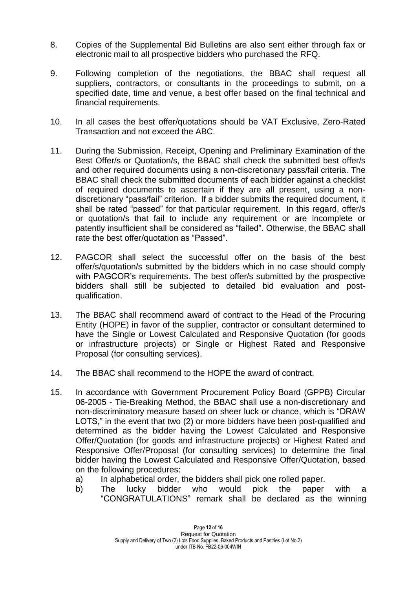- 8. Copies of the Supplemental Bid Bulletins are also sent either through fax or electronic mail to all prospective bidders who purchased the RFQ.
- 9. Following completion of the negotiations, the BBAC shall request all suppliers, contractors, or consultants in the proceedings to submit, on a specified date, time and venue, a best offer based on the final technical and financial requirements.
- 10. In all cases the best offer/quotations should be VAT Exclusive, Zero-Rated Transaction and not exceed the ABC.
- 11. During the Submission, Receipt, Opening and Preliminary Examination of the Best Offer/s or Quotation/s, the BBAC shall check the submitted best offer/s and other required documents using a non-discretionary pass/fail criteria. The BBAC shall check the submitted documents of each bidder against a checklist of required documents to ascertain if they are all present, using a nondiscretionary "pass/fail" criterion. If a bidder submits the required document, it shall be rated "passed" for that particular requirement. In this regard, offer/s or quotation/s that fail to include any requirement or are incomplete or patently insufficient shall be considered as "failed". Otherwise, the BBAC shall rate the best offer/quotation as "Passed".
- 12. PAGCOR shall select the successful offer on the basis of the best offer/s/quotation/s submitted by the bidders which in no case should comply with PAGCOR's requirements. The best offer/s submitted by the prospective bidders shall still be subjected to detailed bid evaluation and postqualification.
- 13. The BBAC shall recommend award of contract to the Head of the Procuring Entity (HOPE) in favor of the supplier, contractor or consultant determined to have the Single or Lowest Calculated and Responsive Quotation (for goods or infrastructure projects) or Single or Highest Rated and Responsive Proposal (for consulting services).
- 14. The BBAC shall recommend to the HOPE the award of contract.
- 15. In accordance with Government Procurement Policy Board (GPPB) Circular 06-2005 - Tie-Breaking Method, the BBAC shall use a non-discretionary and non-discriminatory measure based on sheer luck or chance, which is "DRAW LOTS," in the event that two (2) or more bidders have been post-qualified and determined as the bidder having the Lowest Calculated and Responsive Offer/Quotation (for goods and infrastructure projects) or Highest Rated and Responsive Offer/Proposal (for consulting services) to determine the final bidder having the Lowest Calculated and Responsive Offer/Quotation, based on the following procedures:
	- a) In alphabetical order, the bidders shall pick one rolled paper.
	- b) The lucky bidder who would pick the paper with a "CONGRATULATIONS" remark shall be declared as the winning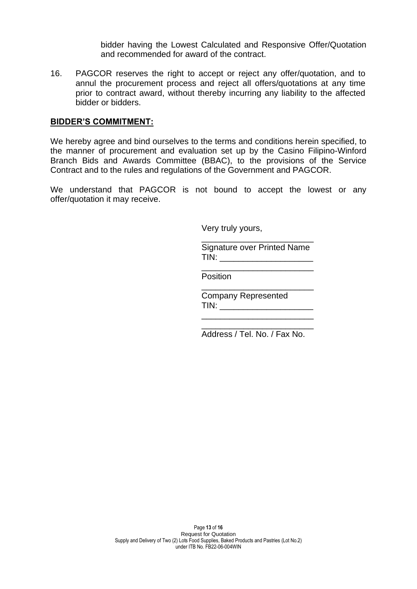bidder having the Lowest Calculated and Responsive Offer/Quotation and recommended for award of the contract.

16. PAGCOR reserves the right to accept or reject any offer/quotation, and to annul the procurement process and reject all offers/quotations at any time prior to contract award, without thereby incurring any liability to the affected bidder or bidders.

#### **BIDDER'S COMMITMENT:**

We hereby agree and bind ourselves to the terms and conditions herein specified, to the manner of procurement and evaluation set up by the Casino Filipino-Winford Branch Bids and Awards Committee (BBAC), to the provisions of the Service Contract and to the rules and regulations of the Government and PAGCOR.

We understand that PAGCOR is not bound to accept the lowest or any offer/quotation it may receive.

Very truly yours,

\_\_\_\_\_\_\_\_\_\_\_\_\_\_\_\_\_\_\_\_\_\_\_\_ Signature over Printed Name  $TIN:$ 

\_\_\_\_\_\_\_\_\_\_\_\_\_\_\_\_\_\_\_\_\_\_\_\_

\_\_\_\_\_\_\_\_\_\_\_\_\_\_\_\_\_\_\_\_\_\_\_\_

Position

Company Represented TIN: **We have a set of the set of the set of the set of the set of the set of the set of the set of the set of the set of the set of the set of the set of the set of the set of the set of the set of the set of the set of t** 

 $\frac{1}{\sqrt{2}}$  ,  $\frac{1}{\sqrt{2}}$  ,  $\frac{1}{\sqrt{2}}$  ,  $\frac{1}{\sqrt{2}}$  ,  $\frac{1}{\sqrt{2}}$  ,  $\frac{1}{\sqrt{2}}$  ,  $\frac{1}{\sqrt{2}}$  ,  $\frac{1}{\sqrt{2}}$  ,  $\frac{1}{\sqrt{2}}$  ,  $\frac{1}{\sqrt{2}}$  ,  $\frac{1}{\sqrt{2}}$  ,  $\frac{1}{\sqrt{2}}$  ,  $\frac{1}{\sqrt{2}}$  ,  $\frac{1}{\sqrt{2}}$  ,  $\frac{1}{\sqrt{2}}$ 

\_\_\_\_\_\_\_\_\_\_\_\_\_\_\_\_\_\_\_\_\_\_\_\_ Address / Tel. No. / Fax No.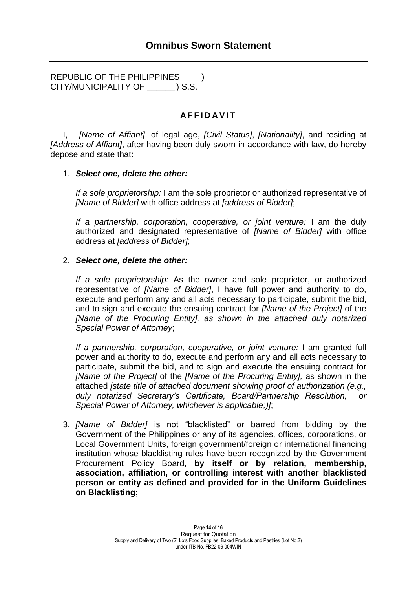REPUBLIC OF THE PHILIPPINES  $\qquad$ ) CITY/MUNICIPALITY OF \_\_\_\_\_\_ ) S.S.

## **A F F I D A V I T**

I, *[Name of Affiant]*, of legal age, *[Civil Status]*, *[Nationality]*, and residing at *[Address of Affiant]*, after having been duly sworn in accordance with law, do hereby depose and state that:

#### 1. *Select one, delete the other:*

*If a sole proprietorship:* I am the sole proprietor or authorized representative of *[Name of Bidder]* with office address at *[address of Bidder]*;

*If a partnership, corporation, cooperative, or joint venture:* I am the duly authorized and designated representative of *[Name of Bidder]* with office address at *[address of Bidder]*;

#### 2. *Select one, delete the other:*

*If a sole proprietorship:* As the owner and sole proprietor, or authorized representative of *[Name of Bidder]*, I have full power and authority to do, execute and perform any and all acts necessary to participate, submit the bid, and to sign and execute the ensuing contract for *[Name of the Project]* of the *[Name of the Procuring Entity], as shown in the attached duly notarized Special Power of Attorney*;

*If a partnership, corporation, cooperative, or joint venture:* I am granted full power and authority to do, execute and perform any and all acts necessary to participate, submit the bid, and to sign and execute the ensuing contract for *[Name of the Project]* of the *[Name of the Procuring Entity],* as shown in the attached *[state title of attached document showing proof of authorization (e.g., duly notarized Secretary's Certificate, Board/Partnership Resolution, or Special Power of Attorney, whichever is applicable;)]*;

3. *[Name of Bidder]* is not "blacklisted" or barred from bidding by the Government of the Philippines or any of its agencies, offices, corporations, or Local Government Units, foreign government/foreign or international financing institution whose blacklisting rules have been recognized by the Government Procurement Policy Board, **by itself or by relation, membership, association, affiliation, or controlling interest with another blacklisted person or entity as defined and provided for in the Uniform Guidelines on Blacklisting;**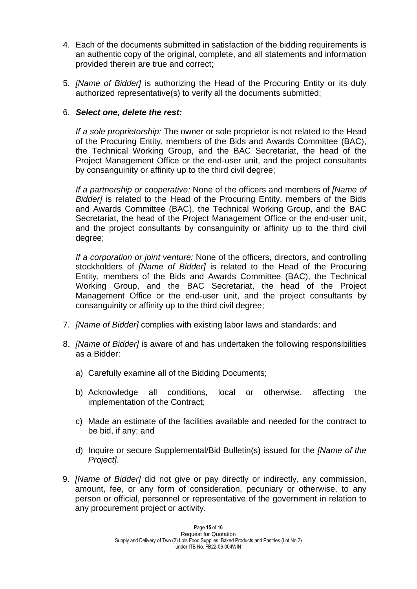- 4. Each of the documents submitted in satisfaction of the bidding requirements is an authentic copy of the original, complete, and all statements and information provided therein are true and correct;
- 5. *[Name of Bidder]* is authorizing the Head of the Procuring Entity or its duly authorized representative(s) to verify all the documents submitted;

### 6. *Select one, delete the rest:*

*If a sole proprietorship:* The owner or sole proprietor is not related to the Head of the Procuring Entity, members of the Bids and Awards Committee (BAC), the Technical Working Group, and the BAC Secretariat, the head of the Project Management Office or the end-user unit, and the project consultants by consanguinity or affinity up to the third civil degree;

*If a partnership or cooperative:* None of the officers and members of *[Name of Bidder]* is related to the Head of the Procuring Entity, members of the Bids and Awards Committee (BAC), the Technical Working Group, and the BAC Secretariat, the head of the Project Management Office or the end-user unit, and the project consultants by consanguinity or affinity up to the third civil degree;

*If a corporation or joint venture:* None of the officers, directors, and controlling stockholders of *[Name of Bidder]* is related to the Head of the Procuring Entity, members of the Bids and Awards Committee (BAC), the Technical Working Group, and the BAC Secretariat, the head of the Project Management Office or the end-user unit, and the project consultants by consanguinity or affinity up to the third civil degree;

- 7. *[Name of Bidder]* complies with existing labor laws and standards; and
- 8. *[Name of Bidder]* is aware of and has undertaken the following responsibilities as a Bidder:
	- a) Carefully examine all of the Bidding Documents;
	- b) Acknowledge all conditions, local or otherwise, affecting the implementation of the Contract;
	- c) Made an estimate of the facilities available and needed for the contract to be bid, if any; and
	- d) Inquire or secure Supplemental/Bid Bulletin(s) issued for the *[Name of the Project]*.
- 9. *[Name of Bidder]* did not give or pay directly or indirectly, any commission, amount, fee, or any form of consideration, pecuniary or otherwise, to any person or official, personnel or representative of the government in relation to any procurement project or activity.